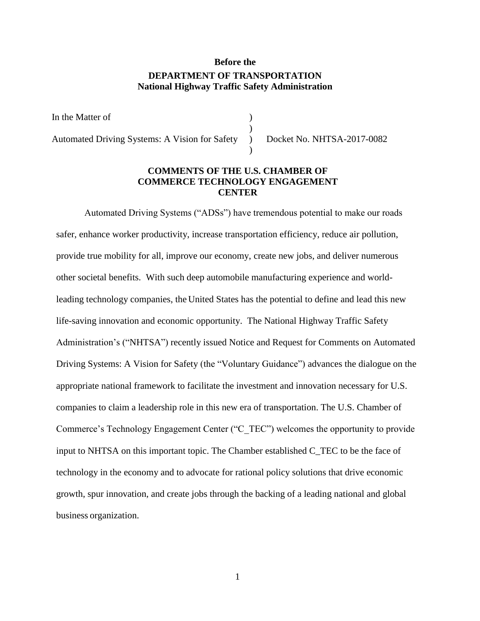# **Before the DEPARTMENT OF TRANSPORTATION National Highway Traffic Safety Administration**

In the Matter of

Automated Driving Systems: A Vision for Safety ) Docket No. NHTSA-2017-0082

### **COMMENTS OF THE U.S. CHAMBER OF COMMERCE TECHNOLOGY ENGAGEMENT CENTER**

)

)

Automated Driving Systems ("ADSs") have tremendous potential to make our roads safer, enhance worker productivity, increase transportation efficiency, reduce air pollution, provide true mobility for all, improve our economy, create new jobs, and deliver numerous other societal benefits. With such deep automobile manufacturing experience and worldleading technology companies, the United States has the potential to define and lead this new life-saving innovation and economic opportunity. The National Highway Traffic Safety Administration's ("NHTSA") recently issued Notice and Request for Comments on Automated Driving Systems: A Vision for Safety (the "Voluntary Guidance") advances the dialogue on the appropriate national framework to facilitate the investment and innovation necessary for U.S. companies to claim a leadership role in this new era of transportation. The U.S. Chamber of Commerce's Technology Engagement Center ("C\_TEC") welcomes the opportunity to provide input to NHTSA on this important topic. The Chamber established C\_TEC to be the face of technology in the economy and to advocate for rational policy solutions that drive economic growth, spur innovation, and create jobs through the backing of a leading national and global business organization.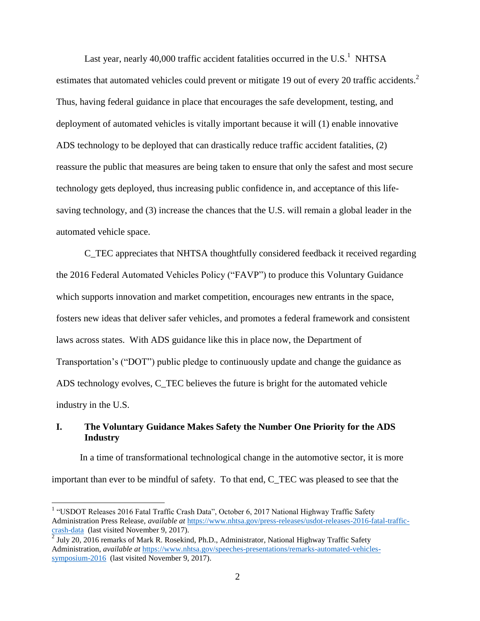Last year, nearly 40,000 traffic accident fatalities occurred in the U.S.<sup>1</sup> NHTSA estimates that automated vehicles could prevent or mitigate 19 out of every 20 traffic accidents.<sup>2</sup> Thus, having federal guidance in place that encourages the safe development, testing, and deployment of automated vehicles is vitally important because it will (1) enable innovative ADS technology to be deployed that can drastically reduce traffic accident fatalities, (2) reassure the public that measures are being taken to ensure that only the safest and most secure technology gets deployed, thus increasing public confidence in, and acceptance of this lifesaving technology, and (3) increase the chances that the U.S. will remain a global leader in the automated vehicle space.

C\_TEC appreciates that NHTSA thoughtfully considered feedback it received regarding the 2016 Federal Automated Vehicles Policy ("FAVP") to produce this Voluntary Guidance which supports innovation and market competition, encourages new entrants in the space, fosters new ideas that deliver safer vehicles, and promotes a federal framework and consistent laws across states. With ADS guidance like this in place now, the Department of Transportation's ("DOT") public pledge to continuously update and change the guidance as ADS technology evolves, C\_TEC believes the future is bright for the automated vehicle industry in the U.S.

# **I. The Voluntary Guidance Makes Safety the Number One Priority for the ADS Industry**

In a time of transformational technological change in the automotive sector, it is more important than ever to be mindful of safety. To that end, C\_TEC was pleased to see that the

<sup>&</sup>lt;sup>1</sup> "USDOT Releases 2016 Fatal Traffic Crash Data", October 6, 2017 National Highway Traffic Safety Administration Press Release, *available at* [https://www.nhtsa.gov/press-releases/usdot-releases-2016-fatal-traffic](https://www.nhtsa.gov/press-releases/usdot-releases-2016-fatal-traffic-crash-data)[crash-data \(last visited November 9, 2017\).](https://www.nhtsa.gov/press-releases/usdot-releases-2016-fatal-traffic-crash-data)

<sup>2</sup> July 20, 2016 remarks of Mark R. Rosekind, Ph.D., Administrator, National Highway Traffic Safety Administration, *available at* [https://www.nhtsa.gov/speeches-presentations/remarks-automated-vehicles](https://www.nhtsa.gov/speeches-presentations/remarks-automated-vehicles-symposium-2016)[symposium-2016 \(last visited November 9, 2017\).](https://www.nhtsa.gov/speeches-presentations/remarks-automated-vehicles-symposium-2016)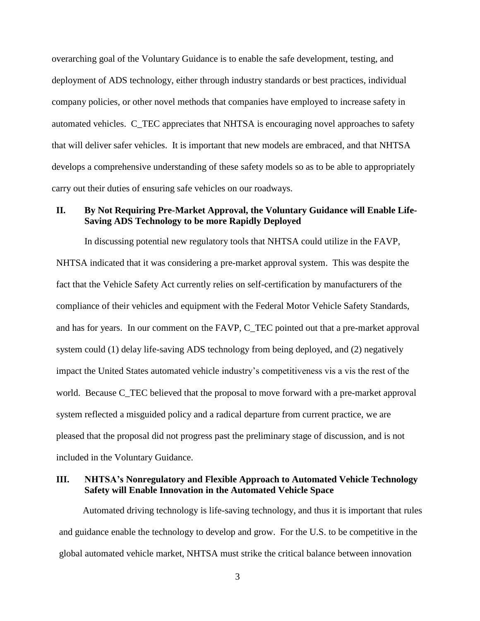overarching goal of the Voluntary Guidance is to enable the safe development, testing, and deployment of ADS technology, either through industry standards or best practices, individual company policies, or other novel methods that companies have employed to increase safety in automated vehicles. C\_TEC appreciates that NHTSA is encouraging novel approaches to safety that will deliver safer vehicles. It is important that new models are embraced, and that NHTSA develops a comprehensive understanding of these safety models so as to be able to appropriately carry out their duties of ensuring safe vehicles on our roadways.

# **II. By Not Requiring Pre-Market Approval, the Voluntary Guidance will Enable Life-Saving ADS Technology to be more Rapidly Deployed**

In discussing potential new regulatory tools that NHTSA could utilize in the FAVP, NHTSA indicated that it was considering a pre-market approval system. This was despite the fact that the Vehicle Safety Act currently relies on self-certification by manufacturers of the compliance of their vehicles and equipment with the Federal Motor Vehicle Safety Standards, and has for years. In our comment on the FAVP, C\_TEC pointed out that a pre-market approval system could (1) delay life-saving ADS technology from being deployed, and (2) negatively impact the United States automated vehicle industry's competitiveness vis a vis the rest of the world. Because C\_TEC believed that the proposal to move forward with a pre-market approval system reflected a misguided policy and a radical departure from current practice, we are pleased that the proposal did not progress past the preliminary stage of discussion, and is not included in the Voluntary Guidance.

### **III. NHTSA's Nonregulatory and Flexible Approach to Automated Vehicle Technology Safety will Enable Innovation in the Automated Vehicle Space**

Automated driving technology is life-saving technology, and thus it is important that rules and guidance enable the technology to develop and grow. For the U.S. to be competitive in the global automated vehicle market, NHTSA must strike the critical balance between innovation

3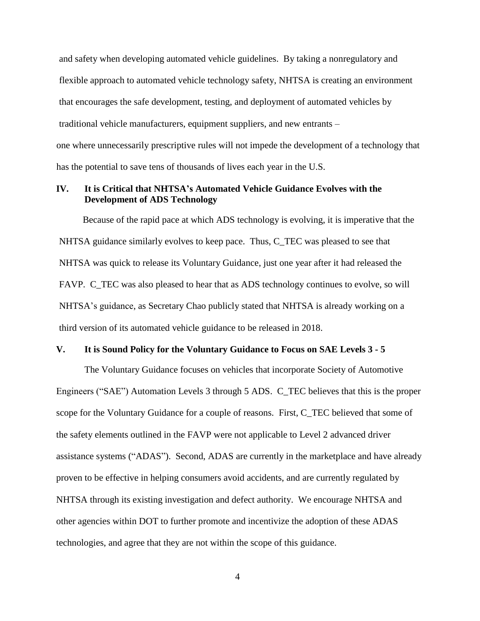and safety when developing automated vehicle guidelines. By taking a nonregulatory and flexible approach to automated vehicle technology safety, NHTSA is creating an environment that encourages the safe development, testing, and deployment of automated vehicles by traditional vehicle manufacturers, equipment suppliers, and new entrants – one where unnecessarily prescriptive rules will not impede the development of a technology that has the potential to save tens of thousands of lives each year in the U.S.

## **IV. It is Critical that NHTSA's Automated Vehicle Guidance Evolves with the Development of ADS Technology**

Because of the rapid pace at which ADS technology is evolving, it is imperative that the NHTSA guidance similarly evolves to keep pace. Thus, C\_TEC was pleased to see that NHTSA was quick to release its Voluntary Guidance, just one year after it had released the FAVP. C\_TEC was also pleased to hear that as ADS technology continues to evolve, so will NHTSA's guidance, as Secretary Chao publicly stated that NHTSA is already working on a third version of its automated vehicle guidance to be released in 2018.

### **V. It is Sound Policy for the Voluntary Guidance to Focus on SAE Levels 3 - 5**

The Voluntary Guidance focuses on vehicles that incorporate Society of Automotive Engineers ("SAE") Automation Levels 3 through 5 ADS. C\_TEC believes that this is the proper scope for the Voluntary Guidance for a couple of reasons. First, C\_TEC believed that some of the safety elements outlined in the FAVP were not applicable to Level 2 advanced driver assistance systems ("ADAS"). Second, ADAS are currently in the marketplace and have already proven to be effective in helping consumers avoid accidents, and are currently regulated by NHTSA through its existing investigation and defect authority. We encourage NHTSA and other agencies within DOT to further promote and incentivize the adoption of these ADAS technologies, and agree that they are not within the scope of this guidance.

4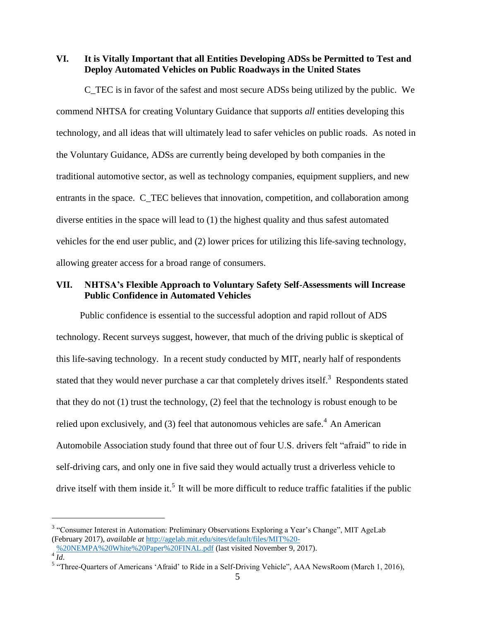**VI. It is Vitally Important that all Entities Developing ADSs be Permitted to Test and Deploy Automated Vehicles on Public Roadways in the United States**

C\_TEC is in favor of the safest and most secure ADSs being utilized by the public. We commend NHTSA for creating Voluntary Guidance that supports *all* entities developing this technology, and all ideas that will ultimately lead to safer vehicles on public roads. As noted in the Voluntary Guidance, ADSs are currently being developed by both companies in the traditional automotive sector, as well as technology companies, equipment suppliers, and new entrants in the space. C\_TEC believes that innovation, competition, and collaboration among diverse entities in the space will lead to (1) the highest quality and thus safest automated vehicles for the end user public, and (2) lower prices for utilizing this life-saving technology, allowing greater access for a broad range of consumers.

# **VII. NHTSA's Flexible Approach to Voluntary Safety Self-Assessments will Increase Public Confidence in Automated Vehicles**

Public confidence is essential to the successful adoption and rapid rollout of ADS technology. Recent surveys suggest, however, that much of the driving public is skeptical of this life-saving technology. In a recent study conducted by MIT, nearly half of respondents stated that they would never purchase a car that completely drives itself.<sup>3</sup> Respondents stated that they do not  $(1)$  trust the technology,  $(2)$  feel that the technology is robust enough to be relied upon exclusively, and (3) feel that autonomous vehicles are safe.<sup>4</sup> An American Automobile Association study found that three out of four U.S. drivers felt "afraid" to ride in self-driving cars, and only one in five said they would actually trust a driverless vehicle to drive itself with them inside it.<sup>5</sup> It will be more difficult to reduce traffic fatalities if the public

<sup>&</sup>lt;sup>3</sup> "Consumer Interest in Automation: Preliminary Observations Exploring a Year's Change", MIT AgeLab (February 2017), *available at* [http://agelab.mit.edu/sites/default/files/MIT%20-](http://agelab.mit.edu/sites/default/files/MIT%20-%20NEMPA%20White%20Paper%20FINAL.pdf)

[<sup>%20</sup>NEMPA%20White%20Paper%20FINAL.pdf](http://agelab.mit.edu/sites/default/files/MIT%20-%20NEMPA%20White%20Paper%20FINAL.pdf) (last visited November 9, 2017).  $\overline{4}$   $\overline{Id}$ .

<sup>&</sup>lt;sup>5</sup> "Three-Quarters of Americans 'Afraid' to Ride in a Self-Driving Vehicle", AAA NewsRoom (March 1, 2016),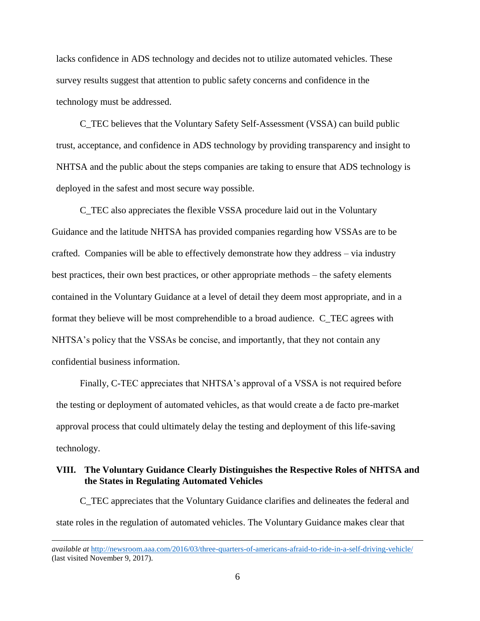lacks confidence in ADS technology and decides not to utilize automated vehicles. These survey results suggest that attention to public safety concerns and confidence in the technology must be addressed.

C\_TEC believes that the Voluntary Safety Self-Assessment (VSSA) can build public trust, acceptance, and confidence in ADS technology by providing transparency and insight to NHTSA and the public about the steps companies are taking to ensure that ADS technology is deployed in the safest and most secure way possible.

C\_TEC also appreciates the flexible VSSA procedure laid out in the Voluntary Guidance and the latitude NHTSA has provided companies regarding how VSSAs are to be crafted. Companies will be able to effectively demonstrate how they address – via industry best practices, their own best practices, or other appropriate methods – the safety elements contained in the Voluntary Guidance at a level of detail they deem most appropriate, and in a format they believe will be most comprehendible to a broad audience. C\_TEC agrees with NHTSA's policy that the VSSAs be concise, and importantly, that they not contain any confidential business information.

Finally, C-TEC appreciates that NHTSA's approval of a VSSA is not required before the testing or deployment of automated vehicles, as that would create a de facto pre-market approval process that could ultimately delay the testing and deployment of this life-saving technology.

# **VIII. The Voluntary Guidance Clearly Distinguishes the Respective Roles of NHTSA and the States in Regulating Automated Vehicles**

C\_TEC appreciates that the Voluntary Guidance clarifies and delineates the federal and state roles in the regulation of automated vehicles. The Voluntary Guidance makes clear that

*available at <http://newsroom.aaa.com/2016/03/three-quarters-of-americans-afraid-to-ride-in-a-self-driving-vehicle/>* (last visited November 9, 2017).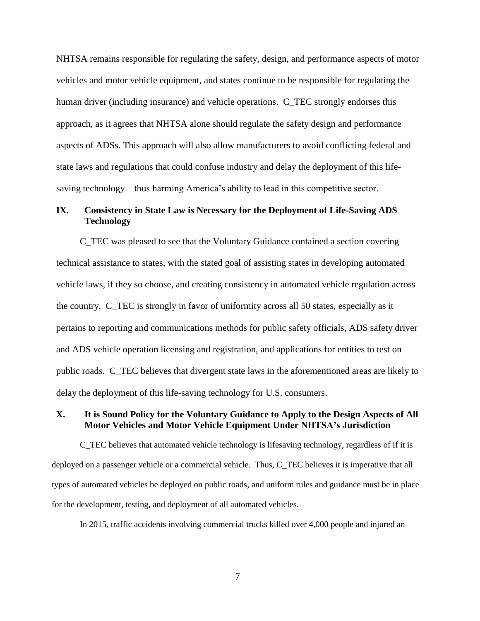NHTSA remains responsible for regulating the safety, design, and performance aspects of motor vehicles and motor vehicle equipment, and states continue to be responsible for regulating the human driver (including insurance) and vehicle operations. C\_TEC strongly endorses this approach, as it agrees that NHTSA alone should regulate the safety design and performance aspects of ADSs. This approach will also allow manufacturers to avoid conflicting federal and state laws and regulations that could confuse industry and delay the deployment of this lifesaving technology – thus harming America's ability to lead in this competitive sector.

# **IX. Consistency in State Law is Necessary for the Deployment of Life-Saving ADS Technology**

C\_TEC was pleased to see that the Voluntary Guidance contained a section covering technical assistance to states, with the stated goal of assisting states in developing automated vehicle laws, if they so choose, and creating consistency in automated vehicle regulation across the country. C\_TEC is strongly in favor of uniformity across all 50 states, especially as it pertains to reporting and communications methods for public safety officials, ADS safety driver and ADS vehicle operation licensing and registration, and applications for entities to test on public roads. C\_TEC believes that divergent state laws in the aforementioned areas are likely to delay the deployment of this life-saving technology for U.S. consumers.

# **X. It is Sound Policy for the Voluntary Guidance to Apply to the Design Aspects of All Motor Vehicles and Motor Vehicle Equipment Under NHTSA's Jurisdiction**

C\_TEC believes that automated vehicle technology is lifesaving technology, regardless of if it is deployed on a passenger vehicle or a commercial vehicle. Thus, C\_TEC believes it is imperative that all types of automated vehicles be deployed on public roads, and uniform rules and guidance must be in place for the development, testing, and deployment of all automated vehicles.

In 2015, traffic accidents involving commercial trucks killed over 4,000 people and injured an

7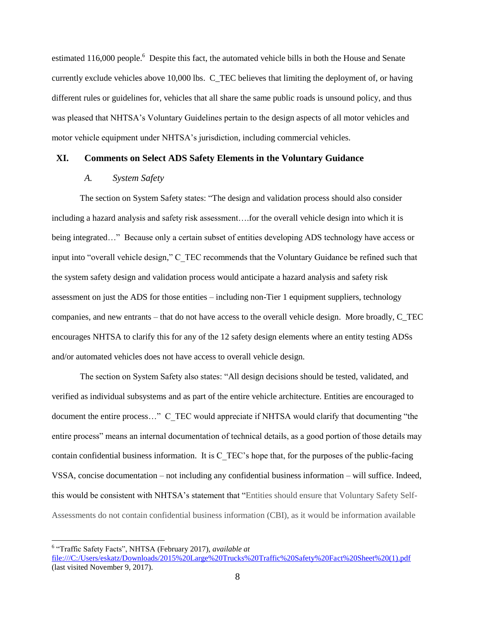estimated 116,000 people.<sup>6</sup> Despite this fact, the automated vehicle bills in both the House and Senate currently exclude vehicles above 10,000 lbs. C\_TEC believes that limiting the deployment of, or having different rules or guidelines for, vehicles that all share the same public roads is unsound policy, and thus was pleased that NHTSA's Voluntary Guidelines pertain to the design aspects of all motor vehicles and motor vehicle equipment under NHTSA's jurisdiction, including commercial vehicles.

#### **XI. Comments on Select ADS Safety Elements in the Voluntary Guidance**

#### *A. System Safety*

The section on System Safety states: "The design and validation process should also consider including a hazard analysis and safety risk assessment….for the overall vehicle design into which it is being integrated…" Because only a certain subset of entities developing ADS technology have access or input into "overall vehicle design," C\_TEC recommends that the Voluntary Guidance be refined such that the system safety design and validation process would anticipate a hazard analysis and safety risk assessment on just the ADS for those entities – including non-Tier 1 equipment suppliers, technology companies, and new entrants – that do not have access to the overall vehicle design. More broadly, C\_TEC encourages NHTSA to clarify this for any of the 12 safety design elements where an entity testing ADSs and/or automated vehicles does not have access to overall vehicle design.

The section on System Safety also states: "All design decisions should be tested, validated, and verified as individual subsystems and as part of the entire vehicle architecture. Entities are encouraged to document the entire process..." C\_TEC would appreciate if NHTSA would clarify that documenting "the entire process" means an internal documentation of technical details, as a good portion of those details may contain confidential business information. It is C\_TEC's hope that, for the purposes of the public-facing VSSA, concise documentation – not including any confidential business information – will suffice. Indeed, this would be consistent with NHTSA's statement that "Entities should ensure that Voluntary Safety Self-Assessments do not contain confidential business information (CBI), as it would be information available

<sup>6</sup> "Traffic Safety Facts", NHTSA (February 2017), *available at* 

[file:///C:/Users/eskatz/Downloads/2015%20Large%20Trucks%20Traffic%20Safety%20Fact%20Sheet%20\(1\).pdf](file:///C:/Users/eskatz/Downloads/2015%20Large%20Trucks%20Traffic%20Safety%20Fact%20Sheet%20(1).pdf) (last visited November 9, 2017).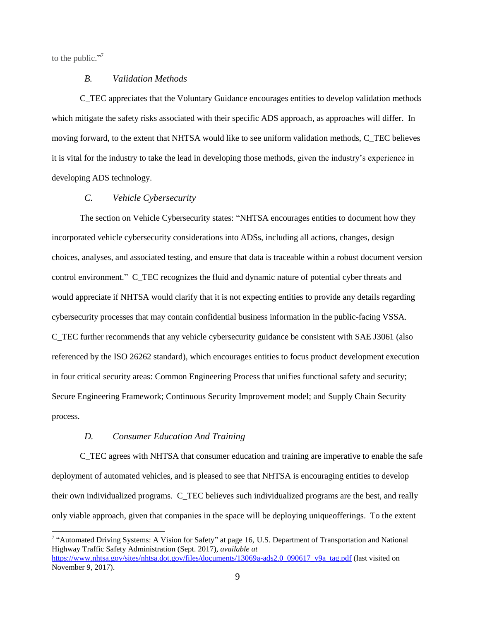to the public."<sup>7</sup>

#### *B. Validation Methods*

C\_TEC appreciates that the Voluntary Guidance encourages entities to develop validation methods which mitigate the safety risks associated with their specific ADS approach, as approaches will differ. In moving forward, to the extent that NHTSA would like to see uniform validation methods, C\_TEC believes it is vital for the industry to take the lead in developing those methods, given the industry's experience in developing ADS technology.

#### *C. Vehicle Cybersecurity*

The section on Vehicle Cybersecurity states: "NHTSA encourages entities to document how they incorporated vehicle cybersecurity considerations into ADSs, including all actions, changes, design choices, analyses, and associated testing, and ensure that data is traceable within a robust document version control environment." C\_TEC recognizes the fluid and dynamic nature of potential cyber threats and would appreciate if NHTSA would clarify that it is not expecting entities to provide any details regarding cybersecurity processes that may contain confidential business information in the public-facing VSSA. C\_TEC further recommends that any vehicle cybersecurity guidance be consistent with SAE J3061 (also referenced by the ISO 26262 standard), which encourages entities to focus product development execution in four critical security areas: Common Engineering Process that unifies functional safety and security; Secure Engineering Framework; Continuous Security Improvement model; and Supply Chain Security process.

### *D. Consumer Education And Training*

C\_TEC agrees with NHTSA that consumer education and training are imperative to enable the safe deployment of automated vehicles, and is pleased to see that NHTSA is encouraging entities to develop their own individualized programs. C\_TEC believes such individualized programs are the best, and really only viable approach, given that companies in the space will be deploying uniqueofferings. To the extent

<sup>&</sup>lt;sup>7</sup> "Automated Driving Systems: A Vision for Safety" at page 16, U.S. Department of Transportation and National Highway Traffic Safety Administration (Sept. 2017), *available at* [https://www.nhtsa.gov/sites/nhtsa.dot.gov/files/documents/13069a-ads2.0\\_090617\\_v9a\\_tag.pdf](https://www.nhtsa.gov/sites/nhtsa.dot.gov/files/documents/13069a-ads2.0_090617_v9a_tag.pdf) (last visited on

November 9, 2017).